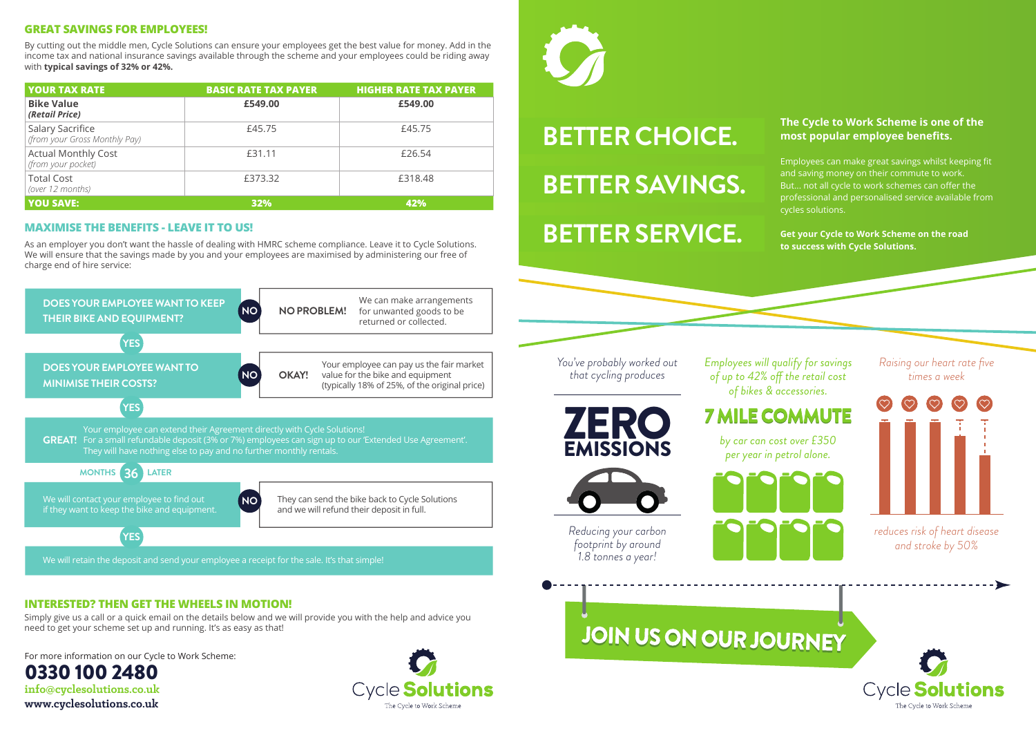# **BETTER CHOICE. BETTER SAVINGS. BETTER SERVICE.**

## **The Cycle to Work Scheme is one of the most popular employee benefits.**

Employees can make great savings whilst keeping fit and saving money on their commute to work. But... not all cycle to work schemes can offer the professional and personalised service available from cycles solutions.

**Get your Cycle to Work Scheme on the road to success with Cycle Solutions.**

*You've probably worked out that cycling produces*

**ZERC** 

**EMISSIONS** 

*Reducing your carbon footprint by around 1.8 tonnes a year!*

# JOIN US ON OUR JOURNEY



The Cycle to Work Scher

*Employees will qualify for savings of up to 42% off the retail cost of bikes & accessories.*

## **7 MILE COMMUTE**

*by car can cost over £350 per year in petrol alone.* 



#### **GREAT SAVINGS FOR EMPLOYEES!**

### **MAXIMISE THE BENEFITS - LEAVE IT TO US!**

By cutting out the middle men, Cycle Solutions can ensure your employees get the best value for money. Add in the income tax and national insurance savings available through the scheme and your employees could be riding away with **typical savings of 32% or 42%.**

As an employer you don't want the hassle of dealing with HMRC scheme compliance. Leave it to Cycle Solutions. We will ensure that the savings made by you and your employees are maximised by administering our free of charge end of hire service:

| <b>YOUR TAX RATE</b>                                     | <b>BASIC RATE TAX PAYER</b> | <b>HIGHER RATE TAX PAYER</b> |
|----------------------------------------------------------|-----------------------------|------------------------------|
| <b>Bike Value</b><br>(Retail Price)                      | £549.00                     | £549.00                      |
| <b>Salary Sacrifice</b><br>(from your Gross Monthly Pay) | £45.75                      | £45.75                       |
| <b>Actual Monthly Cost</b><br>(from your pocket)         | £31.11                      | £26.54                       |
| <b>Total Cost</b><br>(over 12 months)                    | £373.32                     | £318.48                      |
| <u>YOU SAVE:</u>                                         | 32%                         | 42%                          |

For more information on our Cycle to Work Scheme:

0330 100 2480 **info@cyclesolutions.co.uk www.cyclesolutions.co.uk**





#### **INTERESTED? THEN GET THE WHEELS IN MOTION!**

Simply give us a call or a quick email on the details below and we will provide you with the help and advice you need to get your scheme set up and running. It's as easy as that!



We will retain the deposit and send your employee a receipt for the sale. It's that simple!